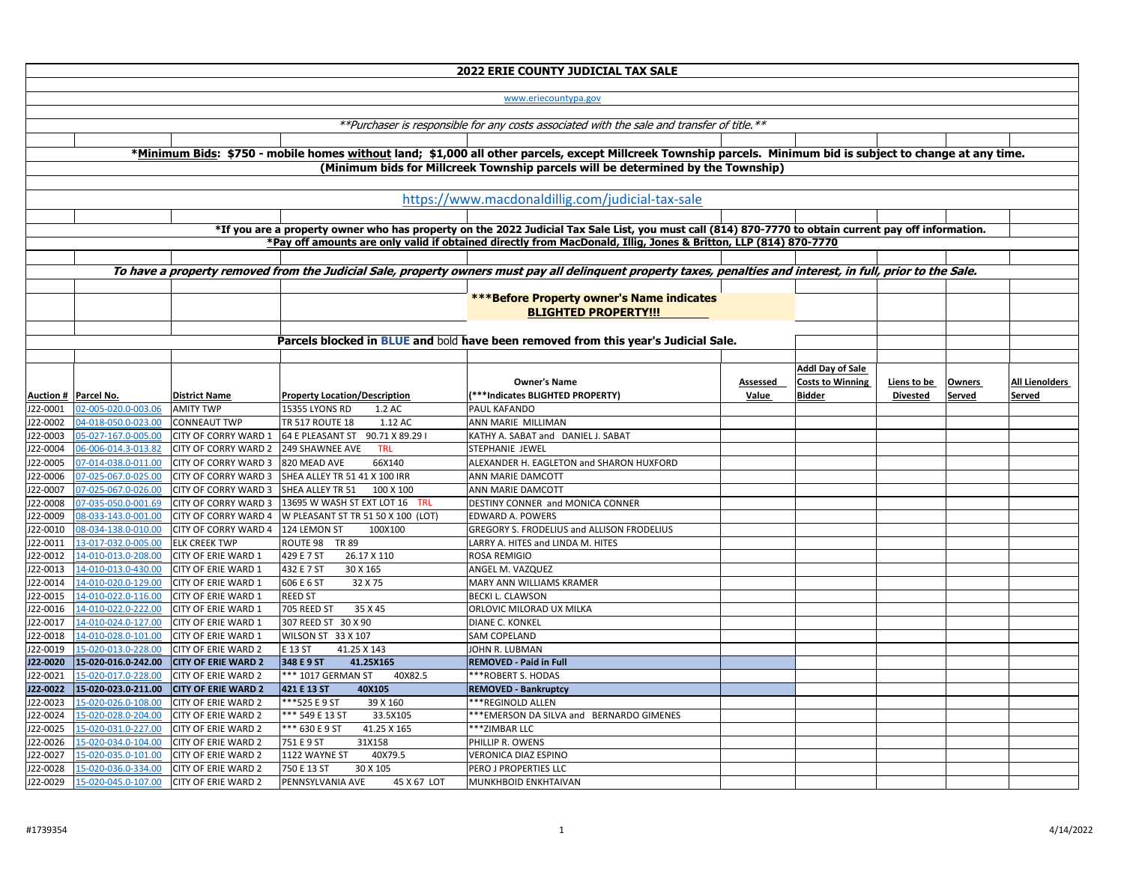| num bid is subject to change at any time.          |                 |                                |                       |
|----------------------------------------------------|-----------------|--------------------------------|-----------------------|
|                                                    |                 |                                |                       |
|                                                    |                 |                                |                       |
|                                                    |                 |                                |                       |
| to obtain current pay off information.             |                 |                                |                       |
| 70-7770                                            |                 |                                |                       |
|                                                    |                 |                                |                       |
| interest, in full, prior to the Sale.              |                 |                                |                       |
|                                                    |                 |                                |                       |
|                                                    |                 |                                |                       |
|                                                    |                 |                                |                       |
|                                                    |                 |                                |                       |
|                                                    |                 |                                |                       |
| <b>Addl Day of Sale</b><br><b>Costs to Winning</b> | Liens to be     |                                | <b>All Lienolders</b> |
| <b>Bidder</b>                                      | <b>Divested</b> | <b>Owners</b><br><b>Served</b> | <b>Served</b>         |
|                                                    |                 |                                |                       |
|                                                    |                 |                                |                       |
|                                                    |                 |                                |                       |
|                                                    |                 |                                |                       |
|                                                    |                 |                                |                       |
|                                                    |                 |                                |                       |
|                                                    |                 |                                |                       |
|                                                    |                 |                                |                       |
|                                                    |                 |                                |                       |
|                                                    |                 |                                |                       |
|                                                    |                 |                                |                       |
|                                                    |                 |                                |                       |
|                                                    |                 |                                |                       |
|                                                    |                 |                                |                       |
|                                                    |                 |                                |                       |
|                                                    |                 |                                |                       |
|                                                    |                 |                                |                       |
|                                                    |                 |                                |                       |
|                                                    |                 |                                |                       |
|                                                    |                 |                                |                       |
|                                                    |                 |                                |                       |
|                                                    |                 |                                |                       |
|                                                    |                 |                                |                       |
|                                                    |                 |                                |                       |

|                      |                                            |                                                          |                                                                                                            | <b>2022 ERIE COUNTY JUDICIAL TAX SALE</b>                                                                                                                      |          |                         |                 |               |            |
|----------------------|--------------------------------------------|----------------------------------------------------------|------------------------------------------------------------------------------------------------------------|----------------------------------------------------------------------------------------------------------------------------------------------------------------|----------|-------------------------|-----------------|---------------|------------|
|                      |                                            |                                                          |                                                                                                            | www.eriecountypa.gov                                                                                                                                           |          |                         |                 |               |            |
|                      |                                            |                                                          |                                                                                                            | **Purchaser is responsible for any costs associated with the sale and transfer of title.**                                                                     |          |                         |                 |               |            |
|                      |                                            |                                                          |                                                                                                            |                                                                                                                                                                |          |                         |                 |               |            |
|                      |                                            |                                                          |                                                                                                            | *Minimum Bids: \$750 - mobile homes without land; \$1,000 all other parcels, except Millcreek Township parcels. Minimum bid is subject to change at any time.  |          |                         |                 |               |            |
|                      |                                            |                                                          |                                                                                                            | (Minimum bids for Millcreek Township parcels will be determined by the Township)                                                                               |          |                         |                 |               |            |
|                      |                                            |                                                          |                                                                                                            |                                                                                                                                                                |          |                         |                 |               |            |
|                      |                                            |                                                          |                                                                                                            | https://www.macdonaldillig.com/judicial-tax-sale                                                                                                               |          |                         |                 |               |            |
|                      |                                            |                                                          |                                                                                                            |                                                                                                                                                                |          |                         |                 |               |            |
|                      |                                            |                                                          |                                                                                                            | *If you are a property owner who has property on the 2022 Judicial Tax Sale List, you must call (814) 870-7770 to obtain current pay off information.          |          |                         |                 |               |            |
|                      |                                            |                                                          |                                                                                                            | *Pay off amounts are only valid if obtained directly from MacDonald, Illig, Jones & Britton, LLP (814) 870-7770                                                |          |                         |                 |               |            |
|                      |                                            |                                                          |                                                                                                            |                                                                                                                                                                |          |                         |                 |               |            |
|                      |                                            |                                                          |                                                                                                            | To have a property removed from the Judicial Sale, property owners must pay all delinquent property taxes, penalties and interest, in full, prior to the Sale. |          |                         |                 |               |            |
|                      |                                            |                                                          |                                                                                                            |                                                                                                                                                                |          |                         |                 |               |            |
|                      |                                            |                                                          |                                                                                                            | <b>***Before Property owner's Name indicates</b>                                                                                                               |          |                         |                 |               |            |
|                      |                                            |                                                          |                                                                                                            | <b>BLIGHTED PROPERTY!!!</b>                                                                                                                                    |          |                         |                 |               |            |
|                      |                                            |                                                          |                                                                                                            |                                                                                                                                                                |          |                         |                 |               |            |
|                      |                                            |                                                          |                                                                                                            | Parcels blocked in BLUE and bold have been removed from this year's Judicial Sale.                                                                             |          |                         |                 |               |            |
|                      |                                            |                                                          |                                                                                                            |                                                                                                                                                                |          |                         |                 |               |            |
|                      |                                            |                                                          |                                                                                                            |                                                                                                                                                                |          | <b>Addl Day of Sale</b> |                 |               |            |
|                      |                                            |                                                          |                                                                                                            | <b>Owner's Name</b>                                                                                                                                            | Assessed | <b>Costs to Winning</b> | Liens to be     | <b>Owners</b> | <b>All</b> |
|                      | <b>Auction # Parcel No.</b>                | <b>District Name</b>                                     | <b>Property Location/Description</b>                                                                       | (***Indicates BLIGHTED PROPERTY)                                                                                                                               | Value    | <b>Bidder</b>           | <b>Divested</b> | Served        | Ser        |
| J22-0001             | 02-005-020.0-003.06                        | <b>AMITY TWP</b>                                         | <b>15355 LYONS RD</b><br>1.2 AC                                                                            | <b>PAUL KAFANDO</b>                                                                                                                                            |          |                         |                 |               |            |
| J22-0002             | 04-018-050.0-023.00                        | <b>CONNEAUT TWP</b>                                      | TR 517 ROUTE 18<br>1.12 AC                                                                                 | ANN MARIE MILLIMAN                                                                                                                                             |          |                         |                 |               |            |
| J22-0003             | 05-027-167.0-005.00                        | <b>CITY OF CORRY WARD 1</b>                              | 64 E PLEASANT ST<br>90.71 X 89.29 I<br>249 SHAWNEE AVE<br><b>TRL</b>                                       | KATHY A. SABAT and DANIEL J. SABAT<br><b>STEPHANIE JEWEL</b>                                                                                                   |          |                         |                 |               |            |
| J22-0004             | 06-006-014.3-013.82                        | <b>CITY OF CORRY WARD 2</b>                              |                                                                                                            |                                                                                                                                                                |          |                         |                 |               |            |
| J22-0005             | 07-014-038.0-011.00                        | <b>CITY OF CORRY WARD 3</b>                              | 820 MEAD AVE<br>66X140<br>JJ22-0006 07-025-067.0-025.00 CITY OF CORRY WARD 3 SHEA ALLEY TR 51 41 X 100 IRR | ALEXANDER H. EAGLETON and SHARON HUXFORD<br><b>ANN MARIE DAMCOTT</b>                                                                                           |          |                         |                 |               |            |
| J22-0007             | 07-025-067.0-026.00                        |                                                          | CITY OF CORRY WARD 3 SHEA ALLEY TR 51 100 X 100                                                            | <b>ANN MARIE DAMCOTT</b>                                                                                                                                       |          |                         |                 |               |            |
| J22-0008             | 07-035-050.0-001.69                        |                                                          | CITY OF CORRY WARD 3 13695 W WASH ST EXT LOT 16 TRL                                                        | DESTINY CONNER and MONICA CONNER                                                                                                                               |          |                         |                 |               |            |
| J22-0009             | 08-033-143.0-001.00                        |                                                          | CITY OF CORRY WARD 4 W PLEASANT ST TR 51 50 X 100 (LOT)                                                    | <b>EDWARD A. POWERS</b>                                                                                                                                        |          |                         |                 |               |            |
| J22-0010             | 08-034-138.0-010.00                        | <b>CITY OF CORRY WARD 4</b>                              | 124 LEMON ST<br>100X100                                                                                    | <b>GREGORY S. FRODELIUS and ALLISON FRODELIUS</b>                                                                                                              |          |                         |                 |               |            |
| J22-0011             | 13-017-032.0-005.00                        | <b>ELK CREEK TWP</b>                                     | ROUTE 98 TR 89                                                                                             | LARRY A. HITES and LINDA M. HITES                                                                                                                              |          |                         |                 |               |            |
| J22-0012             | 14-010-013.0-208.00                        | <b>CITY OF ERIE WARD 1</b>                               | 429 E 7 ST<br>26.17 X 110                                                                                  | <b>ROSA REMIGIO</b>                                                                                                                                            |          |                         |                 |               |            |
| J22-0013             | 14-010-013.0-430.00                        | <b>CITY OF ERIE WARD 1</b>                               | 432 E 7 ST<br>30 X 165                                                                                     | <b>ANGEL M. VAZQUEZ</b>                                                                                                                                        |          |                         |                 |               |            |
| J22-0014             | 14-010-020.0-129.00                        | <b>CITY OF ERIE WARD 1</b>                               | 606 E 6 ST<br>32 X 75                                                                                      | MARY ANN WILLIAMS KRAMER                                                                                                                                       |          |                         |                 |               |            |
| J22-0015             | 14-010-022.0-116.00                        | <b>CITY OF ERIE WARD 1</b>                               | <b>REED ST</b>                                                                                             | <b>BECKI L. CLAWSON</b>                                                                                                                                        |          |                         |                 |               |            |
| J22-0016             | 14-010-022.0-222.00                        | <b>CITY OF ERIE WARD 1</b>                               | 705 REED ST<br>35 X 45                                                                                     | <b>ORLOVIC MILORAD UX MILKA</b>                                                                                                                                |          |                         |                 |               |            |
| J22-0017             | 14-010-024.0-127.00                        | <b>CITY OF ERIE WARD 1</b>                               | 307 REED ST 30 X 90                                                                                        | <b>DIANE C. KONKEL</b>                                                                                                                                         |          |                         |                 |               |            |
| J22-0018<br>J22-0019 | 14-010-028.0-101.00<br>15-020-013.0-228.00 | <b>CITY OF ERIE WARD 1</b><br><b>CITY OF ERIE WARD 2</b> | WILSON ST 33 X 107<br><b>E 13 ST</b><br>41.25 X 143                                                        | <b>SAM COPELAND</b><br>JOHN R. LUBMAN                                                                                                                          |          |                         |                 |               |            |
| J22-0020             | 15-020-016.0-242.00                        | <b>CITY OF ERIE WARD 2</b>                               | 348 E 9 ST<br>41.25X165                                                                                    | <b>REMOVED - Paid in Full</b>                                                                                                                                  |          |                         |                 |               |            |
| J22-0021             | 15-020-017.0-228.00                        | <b>CITY OF ERIE WARD 2</b>                               | *** 1017 GERMAN ST<br>40X82.5                                                                              | <sup>***</sup> ROBERT S. HODAS                                                                                                                                 |          |                         |                 |               |            |
| J22-0022             | 15-020-023.0-211.00                        | <b>CITY OF ERIE WARD 2</b>                               | 421 E 13 ST<br>40X105                                                                                      | <b>REMOVED - Bankruptcy</b>                                                                                                                                    |          |                         |                 |               |            |
| J22-0023             | 15-020-026.0-108.00                        | <b>CITY OF ERIE WARD 2</b>                               | *** 525 E 9 ST<br>39 X 160                                                                                 | <sup>***REGINOLD ALLEN</sup>                                                                                                                                   |          |                         |                 |               |            |
| J22-0024             | 15-020-028.0-204.00                        | <b>CITY OF ERIE WARD 2</b>                               | *** 549 E 13 ST<br>33.5X105                                                                                | <b>***EMERSON DA SILVA and BERNARDO GIMENES</b>                                                                                                                |          |                         |                 |               |            |
| J22-0025             | 15-020-031.0-227.00                        | <b>CITY OF ERIE WARD 2</b>                               | *** 630 E 9 ST<br>41.25 X 165                                                                              | <b>***ZIMBAR LLC</b>                                                                                                                                           |          |                         |                 |               |            |
| J22-0026             | 15-020-034.0-104.00                        | <b>CITY OF ERIE WARD 2</b>                               | 751 E 9 ST<br>31X158                                                                                       | PHILLIP R. OWENS                                                                                                                                               |          |                         |                 |               |            |
| J22-0027             | 15-020-035.0-101.00                        | <b>CITY OF ERIE WARD 2</b>                               | 1122 WAYNE ST<br>40X79.5                                                                                   | VERONICA DIAZ ESPINO                                                                                                                                           |          |                         |                 |               |            |
| J22-0028             | 15-020-036.0-334.00                        | <b>CITY OF ERIE WARD 2</b>                               | 750 E 13 ST<br>30 X 105                                                                                    | <b>PERO J PROPERTIES LLC</b>                                                                                                                                   |          |                         |                 |               |            |
| J22-0029             | 15-020-045.0-107.00                        | <b>CITY OF ERIE WARD 2</b>                               | PENNSYLVANIA AVE<br>45 X 67 LOT                                                                            | MUNKHBOID ENKHTAIVAN                                                                                                                                           |          |                         |                 |               |            |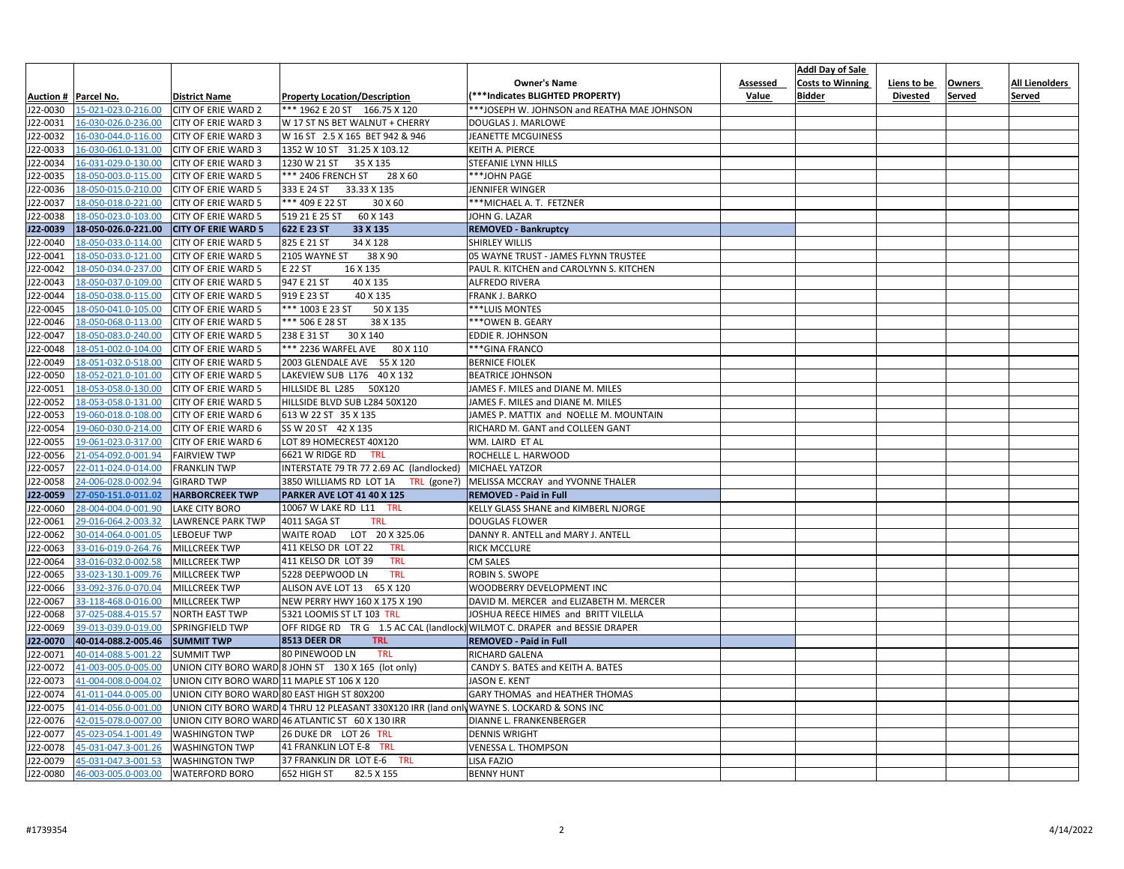|          |                                         |                                            |                                                                                            |                                             |              | <b>Addl Day of Sale</b> |                 |               |                       |
|----------|-----------------------------------------|--------------------------------------------|--------------------------------------------------------------------------------------------|---------------------------------------------|--------------|-------------------------|-----------------|---------------|-----------------------|
|          |                                         |                                            |                                                                                            | <b>Owner's Name</b>                         | Assessed     | <b>Costs to Winning</b> | Liens to be     | <b>Owners</b> | <b>All Lienolders</b> |
|          | Auction #   Parcel No.                  | <b>District Name</b>                       | <b>Property Location/Description</b>                                                       | <b>***Indicates BLIGHTED PROPERTY)</b>      | <b>Value</b> | <b>Bidder</b>           | <b>Divested</b> | Served        | <b>Served</b>         |
| J22-0030 | 15-021-023.0-216.00                     | <b>CITY OF ERIE WARD 2</b>                 | *** 1962 E 20 ST 166.75 X 120                                                              | ***JOSEPH W. JOHNSON and REATHA MAE JOHNSON |              |                         |                 |               |                       |
| J22-0031 | 16-030-026.0-236.00                     | <b>CITY OF ERIE WARD 3</b>                 | W 17 ST NS BET WALNUT + CHERRY                                                             | DOUGLAS J. MARLOWE                          |              |                         |                 |               |                       |
| J22-0032 | 16-030-044.0-116.00                     | <b>CITY OF ERIE WARD 3</b>                 | W 16 ST 2.5 X 165 BET 942 & 946                                                            | JEANETTE MCGUINESS                          |              |                         |                 |               |                       |
| J22-0033 | 16-030-061.0-131.00                     | <b>CITY OF ERIE WARD 3</b>                 | 1352 W 10 ST 31.25 X 103.12                                                                | KEITH A. PIERCE                             |              |                         |                 |               |                       |
| J22-0034 | 16-031-029.0-130.00                     | <b>CITY OF ERIE WARD 3</b>                 | 1230 W 21 ST<br>35 X 135                                                                   | <b>STEFANIE LYNN HILLS</b>                  |              |                         |                 |               |                       |
| J22-0035 | 18-050-003.0-115.00                     | <b>CITY OF ERIE WARD 5</b>                 | *** 2406 FRENCH ST<br>28 X 60                                                              | ***JOHN PAGE                                |              |                         |                 |               |                       |
| J22-0036 | 18-050-015.0-210.00                     | <b>CITY OF ERIE WARD 5</b>                 | 33.33 X 135<br>333 E 24 ST                                                                 | JENNIFER WINGER                             |              |                         |                 |               |                       |
| J22-0037 | 18-050-018.0-221.00                     | <b>CITY OF ERIE WARD 5</b>                 | *** 409 E 22 ST<br>30 X 60                                                                 | *** MICHAEL A. T. FETZNER                   |              |                         |                 |               |                       |
| J22-0038 | 18-050-023.0-103.00                     | <b>CITY OF ERIE WARD 5</b>                 | 60 X 143<br>519 21 E 25 ST                                                                 | JOHN G. LAZAR                               |              |                         |                 |               |                       |
| J22-0039 | 18-050-026.0-221.00                     | <b>CITY OF ERIE WARD 5</b>                 | 622 E 23 ST<br>33 X 135                                                                    | <b>REMOVED - Bankruptcy</b>                 |              |                         |                 |               |                       |
| J22-0040 | 18-050-033.0-114.00                     | <b>CITY OF ERIE WARD 5</b>                 | 825 E 21 ST<br>34 X 128                                                                    | <b>SHIRLEY WILLIS</b>                       |              |                         |                 |               |                       |
| J22-0041 | 18-050-033.0-121.00                     | <b>CITY OF ERIE WARD 5</b>                 | 38 X 90<br>2105 WAYNE ST                                                                   | 05 WAYNE TRUST - JAMES FLYNN TRUSTEE        |              |                         |                 |               |                       |
| J22-0042 | 18-050-034.0-237.00                     | <b>CITY OF ERIE WARD 5</b>                 | E 22 ST<br>16 X 135                                                                        | PAUL R. KITCHEN and CAROLYNN S. KITCHEN     |              |                         |                 |               |                       |
| J22-0043 | 18-050-037.0-109.00                     | <b>CITY OF ERIE WARD 5</b>                 | 947 E 21 ST<br>40 X 135                                                                    | ALFREDO RIVERA                              |              |                         |                 |               |                       |
| J22-0044 | 18-050-038.0-115.00                     | <b>CITY OF ERIE WARD 5</b>                 | 919 E 23 ST<br>40 X 135                                                                    | FRANK J. BARKO                              |              |                         |                 |               |                       |
| J22-0045 | 18-050-041.0-105.00                     | <b>CITY OF ERIE WARD 5</b>                 | *** 1003 E 23 ST<br>50 X 135                                                               | ***LUIS MONTES                              |              |                         |                 |               |                       |
| J22-0046 | 18-050-068.0-113.00                     | <b>CITY OF ERIE WARD 5</b>                 | *** 506 E 28 ST<br>38 X 135                                                                | ***OWEN B. GEARY                            |              |                         |                 |               |                       |
| J22-0047 | 18-050-083.0-240.00                     | <b>CITY OF ERIE WARD 5</b>                 | 30 X 140<br>238 E 31 ST                                                                    | EDDIE R. JOHNSON                            |              |                         |                 |               |                       |
| J22-0048 | 18-051-002.0-104.00                     | <b>CITY OF ERIE WARD 5</b>                 | *** 2236 WARFEL AVE<br>80 X 110                                                            | *** GINA FRANCO                             |              |                         |                 |               |                       |
| J22-0049 | 18-051-032.0-518.00                     | <b>CITY OF ERIE WARD 5</b>                 | 2003 GLENDALE AVE 55 X 120                                                                 | <b>BERNICE FIOLEK</b>                       |              |                         |                 |               |                       |
| J22-0050 | 18-052-021.0-101.00                     | <b>CITY OF ERIE WARD 5</b>                 | LAKEVIEW SUB L176 40 X 132                                                                 | <b>BEATRICE JOHNSON</b>                     |              |                         |                 |               |                       |
| J22-0051 | 18-053-058.0-130.00                     | <b>CITY OF ERIE WARD 5</b>                 | HILLSIDE BL L285 50X120                                                                    | JAMES F. MILES and DIANE M. MILES           |              |                         |                 |               |                       |
| J22-0052 | 18-053-058.0-131.00                     | <b>CITY OF ERIE WARD 5</b>                 | HILLSIDE BLVD SUB L284 50X120                                                              | JAMES F. MILES and DIANE M. MILES           |              |                         |                 |               |                       |
| J22-0053 | 19-060-018.0-108.00                     | <b>CITY OF ERIE WARD 6</b>                 | 613 W 22 ST 35 X 135                                                                       | JAMES P. MATTIX and NOELLE M. MOUNTAIN      |              |                         |                 |               |                       |
| J22-0054 | 19-060-030.0-214.00                     | <b>CITY OF ERIE WARD 6</b>                 | SS W 20 ST 42 X 135                                                                        | RICHARD M. GANT and COLLEEN GANT            |              |                         |                 |               |                       |
| J22-0055 | 19-061-023.0-317.00                     | <b>CITY OF ERIE WARD 6</b>                 | LOT 89 HOMECREST 40X120                                                                    | WM. LAIRD ET AL                             |              |                         |                 |               |                       |
| J22-0056 | 21-054-092.0-001.94                     | <b>FAIRVIEW TWP</b>                        | 6621 W RIDGE RD<br><b>TRL</b>                                                              | ROCHELLE L. HARWOOD                         |              |                         |                 |               |                       |
| J22-0057 | 22-011-024.0-014.00                     | <b>FRANKLIN TWP</b>                        | INTERSTATE 79 TR 77 2.69 AC (landlocked) MICHAEL YATZOR                                    |                                             |              |                         |                 |               |                       |
|          | J22-0058 24-006-028.0-002.94 GIRARD TWP |                                            | 3850 WILLIAMS RD LOT 1A TRL (gone?)   MELISSA MCCRAY and YVONNE THALER                     |                                             |              |                         |                 |               |                       |
| J22-0059 | 27-050-151.0-011.02                     | <b>HARBORCREEK TWP</b>                     | PARKER AVE LOT 41 40 X 125                                                                 | <b>REMOVED - Paid in Full</b>               |              |                         |                 |               |                       |
| J22-0060 | 28-004-004.0-001.90 LAKE CITY BORO      |                                            | 10067 W LAKE RD L11 TRL                                                                    | <b>KELLY GLASS SHANE and KIMBERL NJORGE</b> |              |                         |                 |               |                       |
| J22-0061 | 29-016-064.2-003.32                     | LAWRENCE PARK TWP                          | 4011 SAGA ST<br><b>TRL</b>                                                                 | <b>DOUGLAS FLOWER</b>                       |              |                         |                 |               |                       |
| J22-0062 | 30-014-064.0-001.05                     | LEBOEUF TWP                                | WAITE ROAD LOT 20 X 325.06                                                                 | DANNY R. ANTELL and MARY J. ANTELL          |              |                         |                 |               |                       |
| J22-0063 | 33-016-019.0-264.76 MILLCREEK TWP       |                                            | 411 KELSO DR LOT 22<br><b>TRL</b>                                                          | RICK MCCLURE                                |              |                         |                 |               |                       |
| J22-0064 | 33-016-032.0-002.58                     | MILLCREEK TWP                              | 411 KELSO DR LOT 39<br><b>TRL</b>                                                          | CM SALES                                    |              |                         |                 |               |                       |
| J22-0065 | 33-023-130.1-009.76                     | MILLCREEK TWP                              | 5228 DEEPWOOD LN<br><b>TRL</b>                                                             | ROBIN S. SWOPE                              |              |                         |                 |               |                       |
| J22-0066 | 33-092-376.0-070.04                     | MILLCREEK TWP                              | ALISON AVE LOT 13 65 X 120                                                                 | WOODBERRY DEVELOPMENT INC                   |              |                         |                 |               |                       |
| J22-0067 | 33-118-468.0-016.00                     | MILLCREEK TWP                              | NEW PERRY HWY 160 X 175 X 190                                                              | DAVID M. MERCER and ELIZABETH M. MERCER     |              |                         |                 |               |                       |
| J22-0068 | 37-025-088.4-015.57                     | NORTH EAST TWP                             | 5321 LOOMIS ST LT 103 TRL                                                                  | JOSHUA REECE HIMES and BRITT VILELLA        |              |                         |                 |               |                       |
| J22-0069 | 39-013-039.0-019.00                     | <b>SPRINGFIELD TWP</b>                     | OFF RIDGE RD TR G 1.5 AC CAL (landlock) WILMOT C. DRAPER and BESSIE DRAPER                 |                                             |              |                         |                 |               |                       |
| J22-0070 | 40-014-088.2-005.46 SUMMIT TWP          |                                            | <b>8513 DEER DR</b><br><b>TRL</b>                                                          | <b>REMOVED - Paid in Full</b>               |              |                         |                 |               |                       |
| J22-0071 | 40-014-088.5-001.22                     | <b>SUMMIT TWP</b>                          | 80 PINEWOOD LN<br>TRL                                                                      | RICHARD GALENA                              |              |                         |                 |               |                       |
| J22-0072 | 41-003-005.0-005.00                     |                                            | UNION CITY BORO WARD 8 JOHN ST 130 X 165 (lot only)                                        | CANDY S. BATES and KEITH A. BATES           |              |                         |                 |               |                       |
| J22-0073 | 41-004-008.0-004.02                     | UNION CITY BORO WARD 11 MAPLE ST 106 X 120 |                                                                                            | <b>JASON E. KENT</b>                        |              |                         |                 |               |                       |
| J22-0074 | 41-011-044.0-005.00                     |                                            | UNION CITY BORO WARD 80 EAST HIGH ST 80X200                                                | <b>GARY THOMAS and HEATHER THOMAS</b>       |              |                         |                 |               |                       |
| J22-0075 | 41-014-056.0-001.00                     |                                            | UNION CITY BORO WARD 4 THRU 12 PLEASANT 330X120 IRR (land only WAYNE S. LOCKARD & SONS INC |                                             |              |                         |                 |               |                       |
| J22-0076 | 42-015-078.0-007.00                     |                                            | UNION CITY BORO WARD 46 ATLANTIC ST 60 X 130 IRR                                           | DIANNE L. FRANKENBERGER                     |              |                         |                 |               |                       |
| J22-0077 | 45-023-054.1-001.49                     | <b>WASHINGTON TWP</b>                      | 26 DUKE DR LOT 26 TRL                                                                      | <b>DENNIS WRIGHT</b>                        |              |                         |                 |               |                       |
| J22-0078 | 45-031-047.3-001.26                     | <b>WASHINGTON TWP</b>                      | 41 FRANKLIN LOT E-8 TRL                                                                    | <b>VENESSA L. THOMPSON</b>                  |              |                         |                 |               |                       |
| J22-0079 | 45-031-047.3-001.53                     | <b>WASHINGTON TWP</b>                      | 37 FRANKLIN DR LOT E-6 TRL                                                                 | LISA FAZIO                                  |              |                         |                 |               |                       |
| J22-0080 | 46-003-005.0-003.00 WATERFORD BORO      |                                            | 652 HIGH ST<br>82.5 X 155                                                                  | <b>BENNY HUNT</b>                           |              |                         |                 |               |                       |
|          |                                         |                                            |                                                                                            |                                             |              |                         |                 |               |                       |